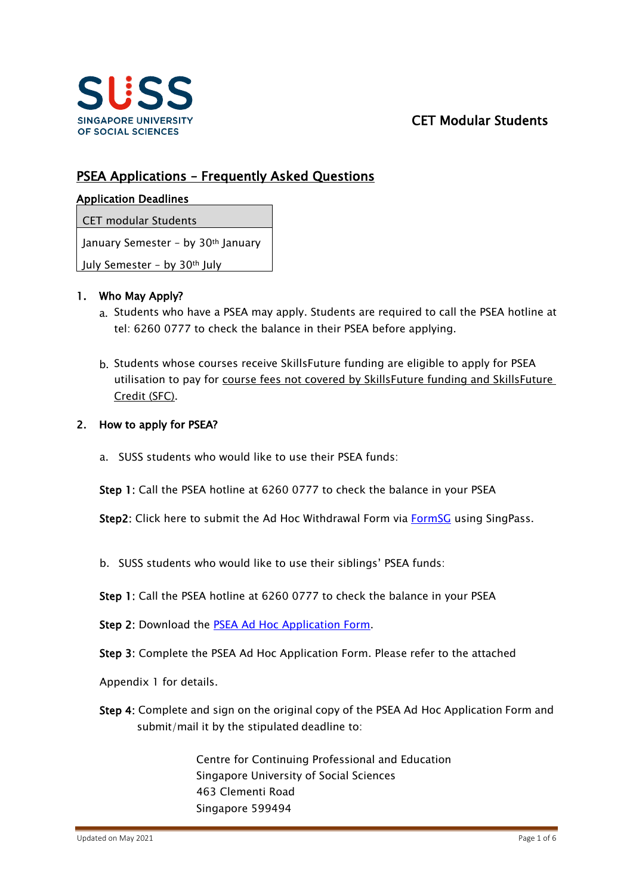

# CET Modular Students

# PSEA Applications – Frequently Asked Questions

### Application Deadlines

### CET modular Students

January Semester - by 30<sup>th</sup> January

July Semester – by 30th July

### 1. Who May Apply?

- a. Students who have a PSEA may apply. Students are required to call the PSEA hotline at tel: 6260 0777 to check the balance in their PSEA before applying.
- b. Students whose courses receive SkillsFuture funding are eligible to apply for PSEA utilisation to pay for course fees not covered by SkillsFuture funding and SkillsFuture Credit (SFC).

### 2. How to apply for PSEA?

a. SUSS students who would like to use their PSEA funds:

Step 1: Call the PSEA hotline at 6260 0777 to check the balance in your PSEA

Step2: Click here to submit the Ad Hoc Withdrawal Form via [FormSG](https://form.gov.sg/#!/5ee97d31ab706800112f92e2) using SingPass.

b. SUSS students who would like to use their siblings' PSEA funds:

Step 1: Call the PSEA hotline at 6260 0777 to check the balance in your PSEA

Step 2: Download the PSEA Ad [Hoc Application Form.](https://www.moe.gov.sg/-/media/files/financial-matters/psea-ad-hoc-withdrawal-form.pdf?la=en&hash=22A293BF6F591B7D9BFF31625B437F1FEAF2665A)

Step 3: Complete the PSEA Ad Hoc Application Form. Please refer to the attached

Appendix 1 for details.

Step 4: Complete and sign on the original copy of the PSEA Ad Hoc Application Form and submit/mail it by the stipulated deadline to:

> Centre for Continuing Professional and Education Singapore University of Social Sciences 463 Clementi Road Singapore 599494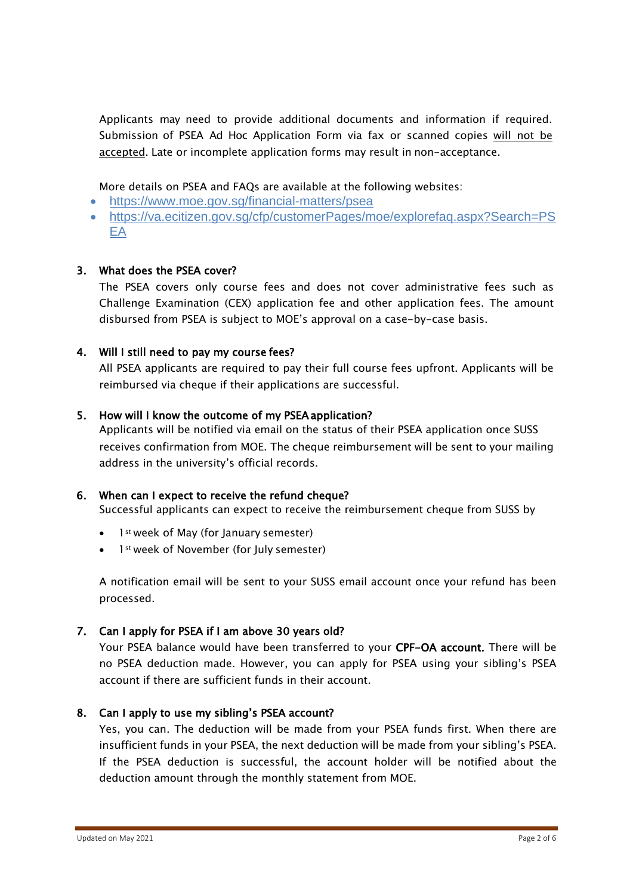Applicants may need to provide additional documents and information if required. Submission of PSEA Ad Hoc Application Form via fax or scanned copies will not be accepted. Late or incomplete application forms may result in non-acceptance.

More details on PSEA and FAQs are available at the following websites:

- <https://www.moe.gov.sg/financial-matters/psea>
- https://va.ecitizen.gov.sg/cfp/customerPages/moe/explorefag.aspx?Search=PS [EA](https://va.ecitizen.gov.sg/cfp/customerPages/moe/explorefaq.aspx?Search=PSEA)

# 3. What does the PSEA cover?

The PSEA covers only course fees and does not cover administrative fees such as Challenge Examination (CEX) application fee and other application fees. The amount disbursed from PSEA is subject to MOE's approval on a case-by-case basis.

# 4. Will I still need to pay my course fees?

All PSEA applicants are required to pay their full course fees upfront. Applicants will be reimbursed via cheque if their applications are successful.

# 5. How will I know the outcome of my PSEA application?

Applicants will be notified via email on the status of their PSEA application once SUSS receives confirmation from MOE. The cheque reimbursement will be sent to your mailing address in the university's official records.

# 6. When can I expect to receive the refund cheque?

Successful applicants can expect to receive the reimbursement cheque from SUSS by

- 1<sup>st</sup> week of May (for January semester)
- 1st week of November (for July semester)

A notification email will be sent to your SUSS email account once your refund has been processed.

## 7. Can I apply for PSEA if I am above 30 years old?

Your PSEA balance would have been transferred to your CPF-OA account. There will be no PSEA deduction made. However, you can apply for PSEA using your sibling's PSEA account if there are sufficient funds in their account.

## 8. Can I apply to use my sibling's PSEA account?

Yes, you can. The deduction will be made from your PSEA funds first. When there are insufficient funds in your PSEA, the next deduction will be made from your sibling's PSEA. If the PSEA deduction is successful, the account holder will be notified about the deduction amount through the monthly statement from MOE.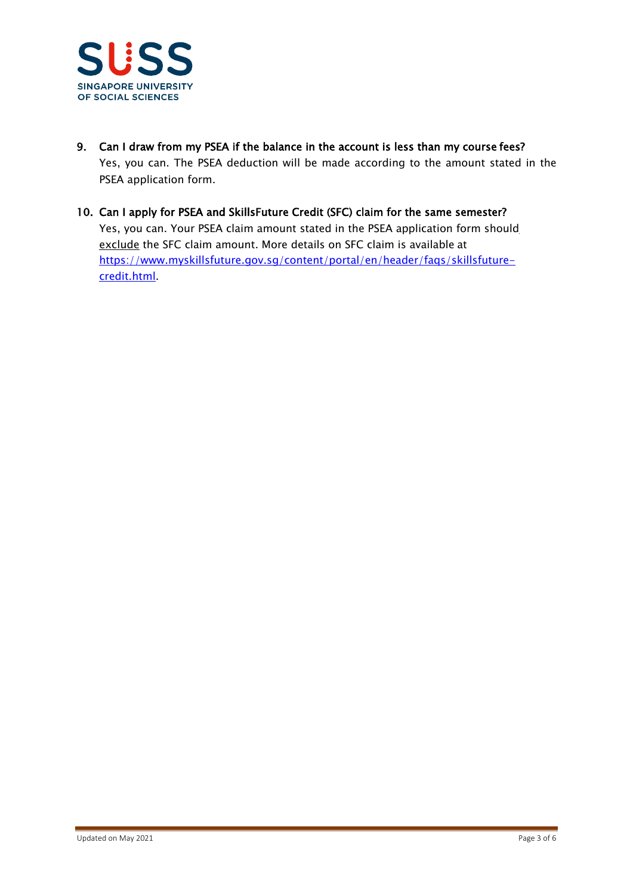

- 9. Can I draw from my PSEA if the balance in the account is less than my course fees? Yes, you can. The PSEA deduction will be made according to the amount stated in the PSEA application form.
- 10. Can I apply for PSEA and SkillsFuture Credit (SFC) claim for the same semester? Yes, you can. Your PSEA claim amount stated in the PSEA application form should exclude the SFC claim amount. More details on SFC claim is available at [https://www.myskillsfuture.gov.sg/content/portal/en/header/faqs/skillsfuture](https://www.myskillsfuture.gov.sg/content/portal/en/header/faqs/skillsfuture-credit.html)[credit.html.](https://www.myskillsfuture.gov.sg/content/portal/en/header/faqs/skillsfuture-credit.html)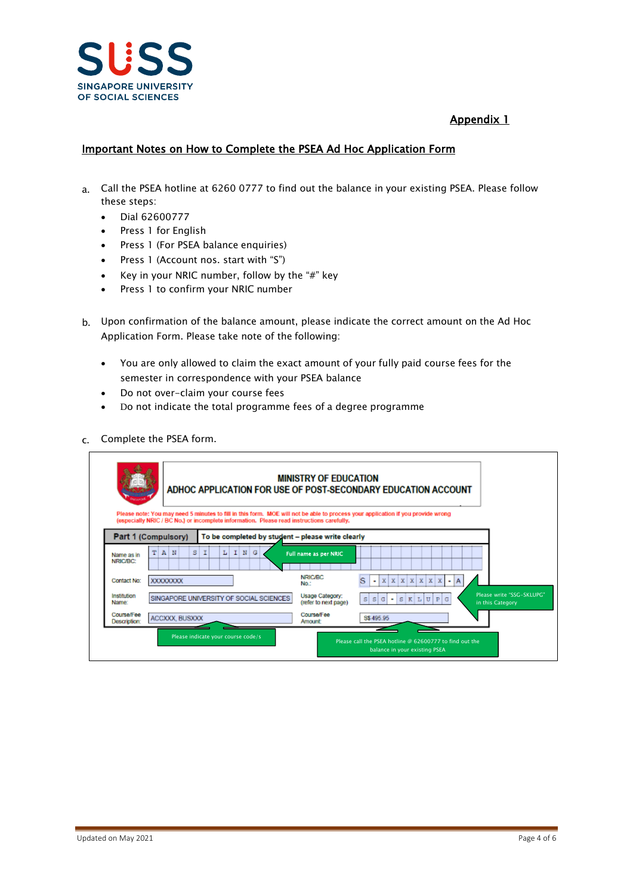

# Appendix 1

### Important Notes on How to Complete the PSEA Ad Hoc Application Form

- a. Call the PSEA hotline at 6260 0777 to find out the balance in your existing PSEA. Please follow these steps:
	- Dial 62600777
	- Press 1 for English
	- Press 1 (For PSEA balance enquiries)
	- Press 1 (Account nos. start with "S")
	- Key in your NRIC number, follow by the "#" key
	- Press 1 to confirm your NRIC number
- b. Upon confirmation of the balance amount, please indicate the correct amount on the Ad Hoc Application Form. Please take note of the following:
	- You are only allowed to claim the exact amount of your fully paid course fees for the semester in correspondence with your PSEA balance
	- Do not over-claim your course fees
	- Do not indicate the total programme fees of a degree programme
- c. Complete the PSEA form.

| <b>Days arend</b>           |                        |                                                                                                                                                | <b>MINISTRY OF EDUCATION</b>            | ADHOC APPLICATION FOR USE OF POST-SECONDARY EDUCATION ACCOUNT                                                                   |
|-----------------------------|------------------------|------------------------------------------------------------------------------------------------------------------------------------------------|-----------------------------------------|---------------------------------------------------------------------------------------------------------------------------------|
| Part 1 (Compulsory)         |                        | (especially NRIC / BC No.) or incomplete information. Please read instructions carefully,<br>To be completed by student - please write clearly |                                         | Please note: You may need 5 minutes to fill in this form. MOE will not be able to process your application if you provide wrong |
| T<br>Name as in<br>NRIC/BC: | s<br>$\mathbf{A}$<br>N | $\mathbf{I}$<br>NG<br>L                                                                                                                        | Full name as per NRIC                   |                                                                                                                                 |
| Contact No:                 | <b>XXXXXXXXX</b>       |                                                                                                                                                | <b>NRIC/BC</b><br>No:                   | x<br>s<br>$\mathbf{x}$<br>X<br>$\bf x$<br>x<br>x<br>$\blacksquare$<br>٠                                                         |
| Institution<br>Name:        |                        | SINGAPORE UNIVERSITY OF SOCIAL SCIENCES                                                                                                        | Usage Category:<br>(refer to next page) | Please write "SSG-SKLUPG"<br>G<br>$S$ $K$<br>U P G<br>s<br>s<br>Ъ<br>$\sim$<br>in this Category                                 |
| Course/Fee<br>Description:  | ACCXXX, BUSXXX         |                                                                                                                                                | Course/Fee<br><b>Amount:</b>            | S\$495.95                                                                                                                       |
|                             |                        | Please indicate your course code/s                                                                                                             |                                         | Please call the PSFA hotline @ 62600777 to find out the<br>balance in your existing PSEA                                        |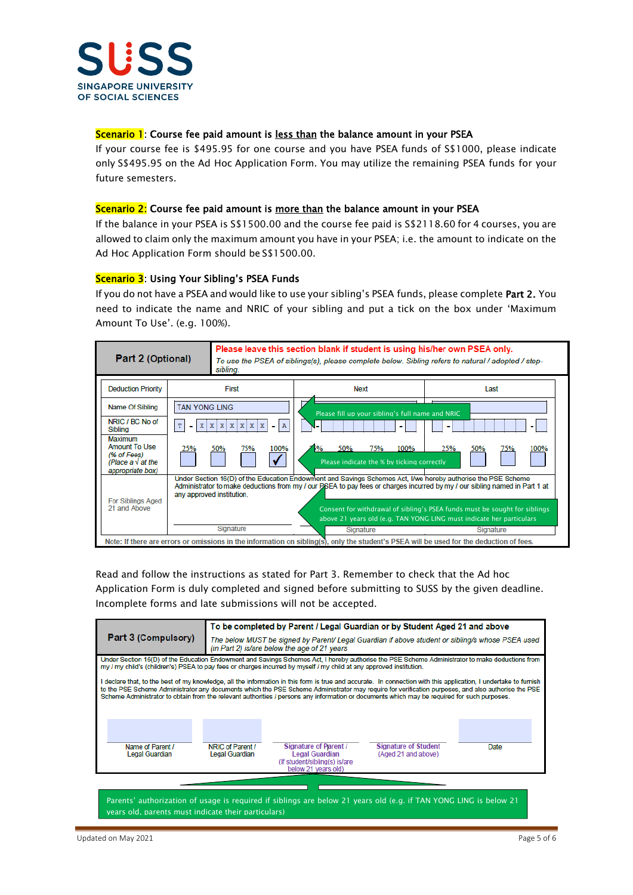

#### Scenario 1: Course fee paid amount is less than the balance amount in your PSEA

If your course fee is \$495.95 for one course and you have PSEA funds of S\$1000, please indicate only S\$495.95 on the Ad Hoc Application Form. You may utilize the remaining PSEA funds for your future semesters.

#### Scenario 2: Course fee paid amount is more than the balance amount in your PSEA

If the balance in your PSEA is S\$1500.00 and the course fee paid is S\$2118.60 for 4 courses, you are allowed to claim only the maximum amount you have in your PSEA; i.e. the amount to indicate on the Ad Hoc Application Form should be S\$1500.00.

#### Scenario 3: Using Your Sibling's PSEA Funds

If you do not have a PSEA and would like to use your sibling's PSEA funds, please complete Part 2. You need to indicate the name and NRIC of your sibling and put a tick on the box under 'Maximum Amount To Use'. (e.g. 100%).



Read and follow the instructions as stated for Part 3. Remember to check that the Ad hoc Application Form is duly completed and signed before submitting to SUSS by the given deadline. Incomplete forms and late submissions will not be accepted.

|                                                                                                                                                                                                                                                                                                                                                                                                                                                                       |                                                                                                                                                  | To be completed by Parent / Legal Guardian or by Student Aged 21 and above                                        |                                                    |      |  |  |  |  |  |  |  |  |  |  |  |
|-----------------------------------------------------------------------------------------------------------------------------------------------------------------------------------------------------------------------------------------------------------------------------------------------------------------------------------------------------------------------------------------------------------------------------------------------------------------------|--------------------------------------------------------------------------------------------------------------------------------------------------|-------------------------------------------------------------------------------------------------------------------|----------------------------------------------------|------|--|--|--|--|--|--|--|--|--|--|--|
| <b>Part 3 (Compulsory)</b>                                                                                                                                                                                                                                                                                                                                                                                                                                            | The below MUST be signed by Parent/ Legal Guardian if above student or sibling/s whose PSEA used<br>(in Part 2) is/are below the age of 21 years |                                                                                                                   |                                                    |      |  |  |  |  |  |  |  |  |  |  |  |
| Under Section 16(D) of the Education Endowment and Savings Schemes Act. I hereby authorise the PSE Scheme Administrator to make deductions from<br>my / my child's (children's) PSEA to pay fees or charges incurred by myself / my child at any approved institution.                                                                                                                                                                                                |                                                                                                                                                  |                                                                                                                   |                                                    |      |  |  |  |  |  |  |  |  |  |  |  |
| I declare that, to the best of my knowledge, all the information in this form is true and accurate. In connection with this application, I undertake to furnish<br>to the PSE Scheme Administrator any documents which the PSE Scheme Administrator may require for verification purposes, and also authorise the PSE<br>Scheme Administrator to obtain from the relevant authorities / persons any information or documents which may be required for such purposes. |                                                                                                                                                  |                                                                                                                   |                                                    |      |  |  |  |  |  |  |  |  |  |  |  |
| Name of Parent /<br><b>Legal Guardian</b>                                                                                                                                                                                                                                                                                                                                                                                                                             | NRIC of Parent /<br><b>Legal Guardian</b>                                                                                                        | <b>Signature of Parent /</b><br><b>Legal Guardian</b><br>(If student/sibling(s) is/are<br>below 21 years old)     | <b>Signature of Student</b><br>(Aged 21 and above) | Date |  |  |  |  |  |  |  |  |  |  |  |
|                                                                                                                                                                                                                                                                                                                                                                                                                                                                       |                                                                                                                                                  | Parents' authorization of usage is required if siblings are below 21 years old (e.g. if TAN YONG LING is below 21 |                                                    |      |  |  |  |  |  |  |  |  |  |  |  |

years old, parents must indicate their particulars)